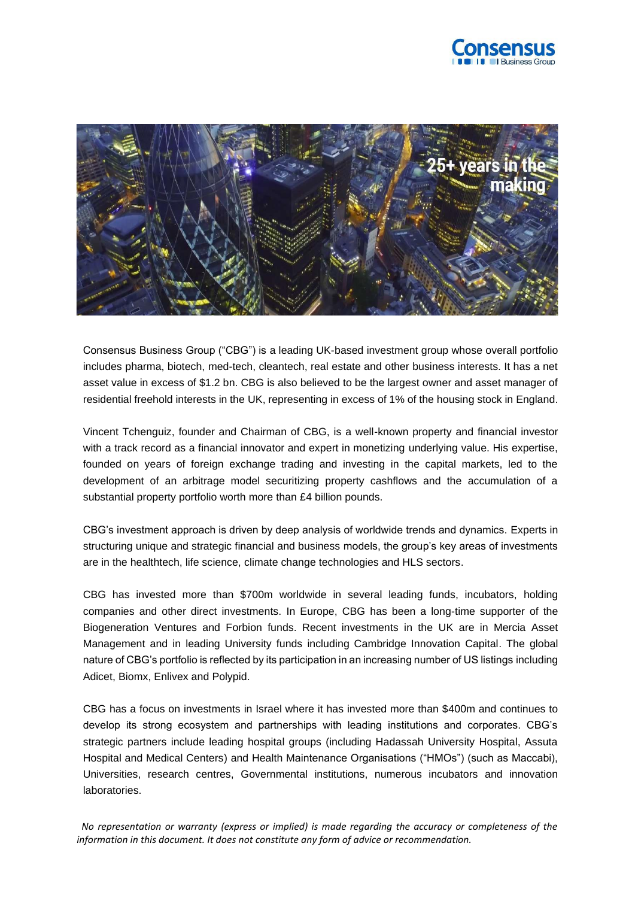



Consensus Business Group ("CBG") is a leading UK-based investment group whose overall portfolio includes pharma, biotech, med-tech, cleantech, real estate and other business interests. It has a net asset value in excess of \$1.2 bn. CBG is also believed to be the largest owner and asset manager of residential freehold interests in the UK, representing in excess of 1% of the housing stock in England.

Vincent Tchenguiz, founder and Chairman of CBG, is a well-known property and financial investor with a track record as a financial innovator and expert in monetizing underlying value. His expertise, founded on years of foreign exchange trading and investing in the capital markets, led to the development of an arbitrage model securitizing property cashflows and the accumulation of a substantial property portfolio worth more than £4 billion pounds.

CBG's investment approach is driven by deep analysis of worldwide trends and dynamics. Experts in structuring unique and strategic financial and business models, the group's key areas of investments are in the healthtech, life science, climate change technologies and HLS sectors.

CBG has invested more than \$700m worldwide in several leading funds, incubators, holding companies and other direct investments. In Europe, CBG has been a long-time supporter of the Biogeneration Ventures and Forbion funds. Recent investments in the UK are in Mercia Asset Management and in leading University funds including Cambridge Innovation Capital. The global nature of CBG's portfolio is reflected by its participation in an increasing number of US listings including Adicet, Biomx, Enlivex and Polypid.

CBG has a focus on investments in Israel where it has invested more than \$400m and continues to develop its strong ecosystem and partnerships with leading institutions and corporates. CBG's strategic partners include leading hospital groups (including Hadassah University Hospital, Assuta Hospital and Medical Centers) and Health Maintenance Organisations ("HMOs") (such as Maccabi), Universities, research centres, Governmental institutions, numerous incubators and innovation laboratories.

 *No representation or warranty (express or implied) is made regarding the accuracy or completeness of the information in this document. It does not constitute any form of advice or recommendation.*